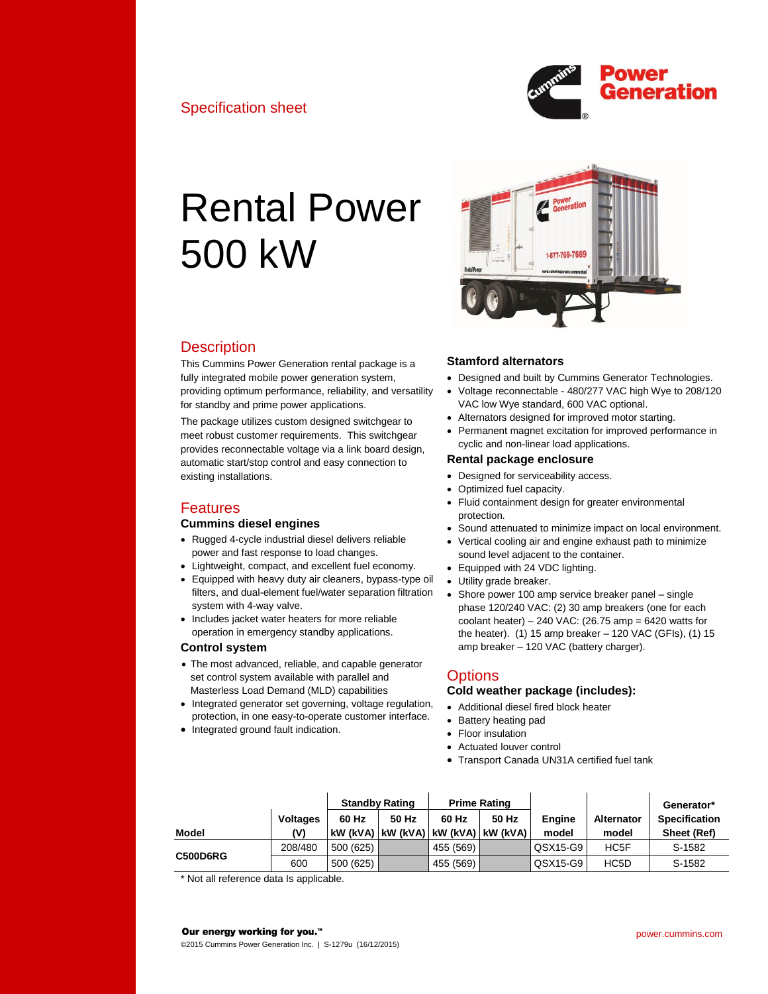

# Rental Power 500 kW



# **Description**

This Cummins Power Generation rental package is a fully integrated mobile power generation system, providing optimum performance, reliability, and versatility for standby and prime power applications.

The package utilizes custom designed switchgear to meet robust customer requirements. This switchgear provides reconnectable voltage via a link board design, automatic start/stop control and easy connection to existing installations.

# Features

## **Cummins diesel engines**

- Rugged 4-cycle industrial diesel delivers reliable power and fast response to load changes.
- Lightweight, compact, and excellent fuel economy.
- Equipped with heavy duty air cleaners, bypass-type oil filters, and dual-element fuel/water separation filtration system with 4-way valve.
- Includes jacket water heaters for more reliable operation in emergency standby applications.

## **Control system**

- The most advanced, reliable, and capable generator set control system available with parallel and Masterless Load Demand (MLD) capabilities
- Integrated generator set governing, voltage regulation, protection, in one easy-to-operate customer interface.
- Integrated ground fault indication.

## **Stamford alternators**

- Designed and built by Cummins Generator Technologies.
- Voltage reconnectable 480/277 VAC high Wye to 208/120 VAC low Wye standard, 600 VAC optional.
- Alternators designed for improved motor starting.
- Permanent magnet excitation for improved performance in cyclic and non-linear load applications.

## **Rental package enclosure**

- Designed for serviceability access.
- Optimized fuel capacity.
- Fluid containment design for greater environmental protection.
- Sound attenuated to minimize impact on local environment.
- Vertical cooling air and engine exhaust path to minimize sound level adjacent to the container.
- Equipped with 24 VDC lighting.
- Utility grade breaker.
- Shore power 100 amp service breaker panel single phase 120/240 VAC: (2) 30 amp breakers (one for each coolant heater) – 240 VAC:  $(26.75 \text{ amp} = 6420 \text{ watts}$  for the heater). (1) 15 amp breaker – 120 VAC (GFIs), (1) 15 amp breaker – 120 VAC (battery charger).

# **Options**

## **Cold weather package (includes):**

- Additional diesel fired block heater
- Battery heating pad
- Floor insulation
- Actuated louver control
- Transport Canada UN31A certified fuel tank

|          |                 | <b>Standby Rating</b> |                                       |           | <b>Prime Rating</b> |               |                   | Generator*           |
|----------|-----------------|-----------------------|---------------------------------------|-----------|---------------------|---------------|-------------------|----------------------|
|          | <b>Voltages</b> | 60 Hz                 | 50 Hz                                 | 60 Hz     | 50 Hz               | <b>Engine</b> | <b>Alternator</b> | <b>Specification</b> |
| Model    | W١              |                       | KW (KVA) KW (KVA) KW (KVA) KW (KVA) K |           |                     | model         | model             | Sheet (Ref)          |
|          | 208/480         | 500 (625)             |                                       | 455 (569) |                     | QSX15-G9      | HC5F              | S-1582               |
| C500D6RG | 600             | 500(625)              |                                       | 455 (569) |                     | QSX15-G9      | HC <sub>5</sub> D | S-1582               |

\* Not all reference data Is applicable.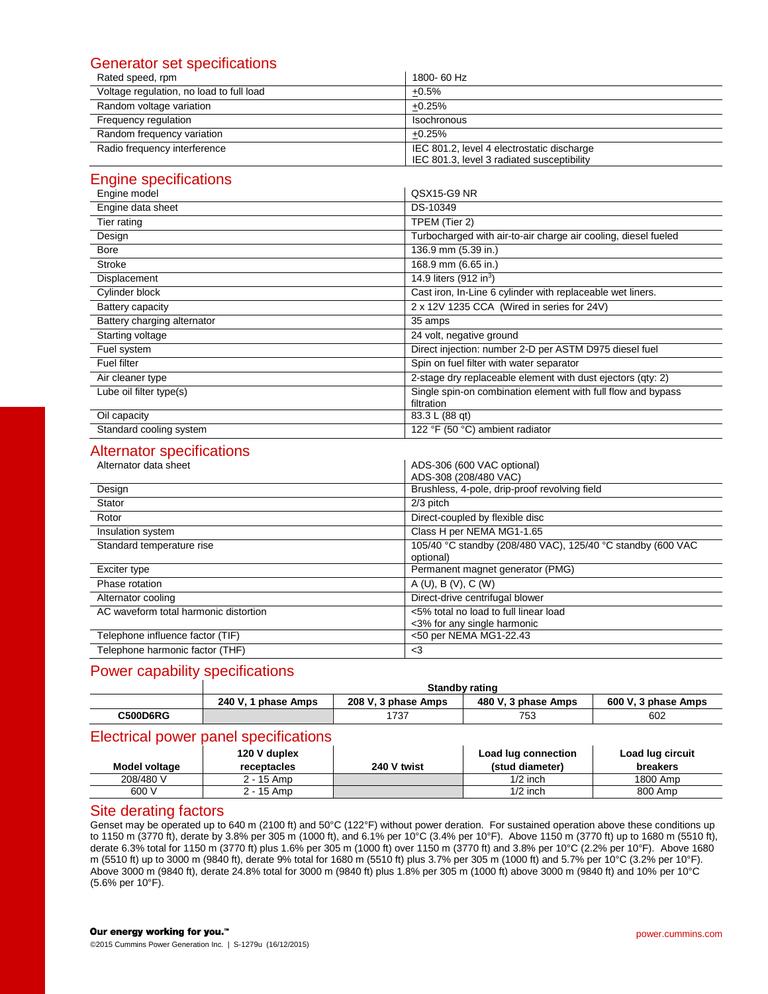# Generator set specifications

| Rated speed, rpm                         | 1800-60 Hz                                                                               |
|------------------------------------------|------------------------------------------------------------------------------------------|
| Voltage regulation, no load to full load | $+0.5%$                                                                                  |
| Random voltage variation                 | $+0.25%$                                                                                 |
| Frequency regulation                     | Isochronous                                                                              |
| Random frequency variation               | $+0.25%$                                                                                 |
| Radio frequency interference             | IEC 801.2, level 4 electrostatic discharge<br>IEC 801.3, level 3 radiated susceptibility |

# Engine specifications

| Engine model                | QSX15-G9 NR                                                                |
|-----------------------------|----------------------------------------------------------------------------|
| Engine data sheet           | DS-10349                                                                   |
| Tier rating                 | TPEM (Tier 2)                                                              |
| Design                      | Turbocharged with air-to-air charge air cooling, diesel fueled             |
| Bore                        | 136.9 mm (5.39 in.)                                                        |
| <b>Stroke</b>               | 168.9 mm (6.65 in.)                                                        |
| Displacement                | 14.9 liters (912 in <sup>3</sup> )                                         |
| Cylinder block              | Cast iron, In-Line 6 cylinder with replaceable wet liners.                 |
| Battery capacity            | 2 x 12V 1235 CCA (Wired in series for 24V)                                 |
| Battery charging alternator | 35 amps                                                                    |
| Starting voltage            | 24 volt, negative ground                                                   |
| Fuel system                 | Direct injection: number 2-D per ASTM D975 diesel fuel                     |
| <b>Fuel filter</b>          | Spin on fuel filter with water separator                                   |
| Air cleaner type            | 2-stage dry replaceable element with dust ejectors (gty: 2)                |
| Lube oil filter type(s)     | Single spin-on combination element with full flow and bypass<br>filtration |
| Oil capacity                | 83.3 L (88 qt)                                                             |
| Standard cooling system     | 122 °F (50 °C) ambient radiator                                            |

# Alternator specifications

| monator opoomodilor   |  |
|-----------------------|--|
| Alternator data sheet |  |
|                       |  |

|                                       | ADS-308 (208/480 VAC)                                                    |
|---------------------------------------|--------------------------------------------------------------------------|
| Design                                | Brushless, 4-pole, drip-proof revolving field                            |
| Stator                                | 2/3 pitch                                                                |
| Rotor                                 | Direct-coupled by flexible disc                                          |
| Insulation system                     | Class H per NEMA MG1-1.65                                                |
| Standard temperature rise             | 105/40 °C standby (208/480 VAC), 125/40 °C standby (600 VAC<br>optional) |
| Exciter type                          | Permanent magnet generator (PMG)                                         |
| Phase rotation                        | A(U), B(V), C(W)                                                         |
| Alternator cooling                    | Direct-drive centrifugal blower                                          |
| AC waveform total harmonic distortion | <5% total no load to full linear load<br><3% for any single harmonic     |
| Telephone influence factor (TIF)      | <50 per NEMA MG1-22.43                                                   |
| Telephone harmonic factor (THF)       | <3                                                                       |

ADS-306 (600 VAC optional)

# Power capability specifications

|                 | <b>Standby rating</b> |                     |                     |                     |  |  |
|-----------------|-----------------------|---------------------|---------------------|---------------------|--|--|
|                 | 240 V. 1 phase Amps   | 208 V. 3 phase Amps | 480 V. 3 phase Amps | 600 V. 3 phase Amps |  |  |
| <b>C500D6RG</b> |                       | 737                 | 753                 | 602                 |  |  |

# Electrical power panel specifications

|               | 120 V duplex |             | Load lug connection | Load lug circuit |
|---------------|--------------|-------------|---------------------|------------------|
| Model voltage | receptacles  | 240 V twist | (stud diameter)     | breakers         |
| 208/480 V     | 2 - 15 Amp   |             | $1/2$ inch          | 1800 Amp         |
| 600 V         | 2 - 15 Amp   |             | $1/2$ inch          | 800 Amp          |

# Site derating factors

Genset may be operated up to 640 m (2100 ft) and 50°C (122°F) without power deration. For sustained operation above these conditions up to 1150 m (3770 ft), derate by 3.8% per 305 m (1000 ft), and 6.1% per 10°C (3.4% per 10°F). Above 1150 m (3770 ft) up to 1680 m (5510 ft), derate 6.3% total for 1150 m (3770 ft) plus 1.6% per 305 m (1000 ft) over 1150 m (3770 ft) and 3.8% per 10°C (2.2% per 10°F). Above 1680 m (5510 ft) up to 3000 m (9840 ft), derate 9% total for 1680 m (5510 ft) plus 3.7% per 305 m (1000 ft) and 5.7% per 10°C (3.2% per 10°F). Above 3000 m (9840 ft), derate 24.8% total for 3000 m (9840 ft) plus 1.8% per 305 m (1000 ft) above 3000 m (9840 ft) and 10% per 10°C (5.6% per 10°F).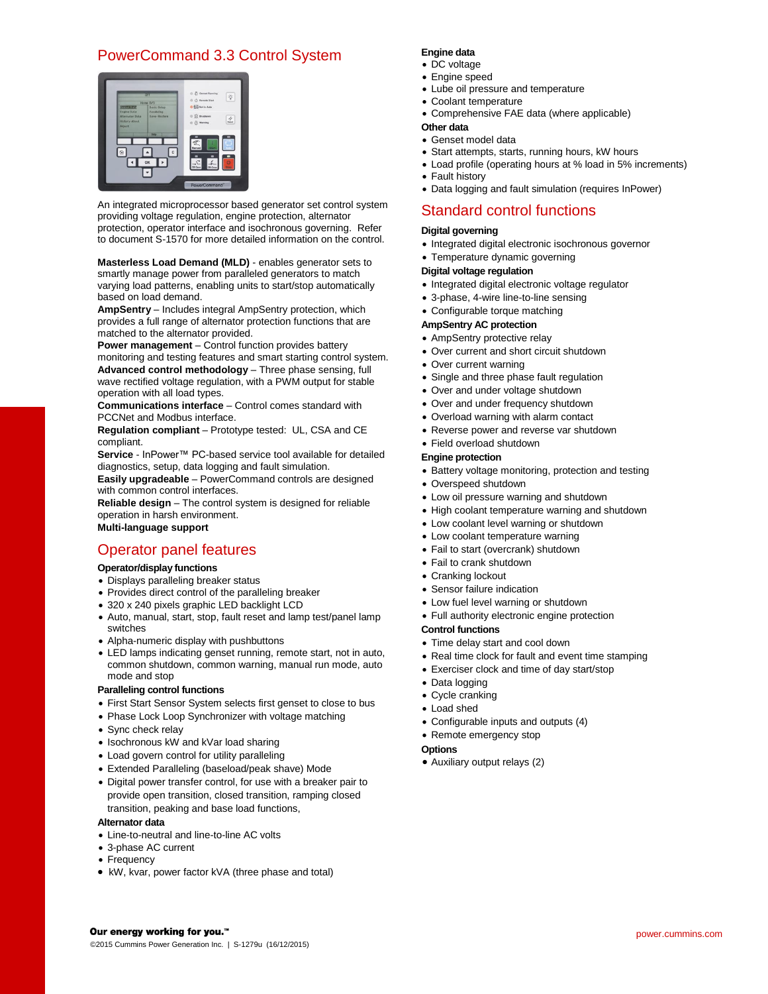# PowerCommand 3.3 Control System



An integrated microprocessor based generator set control system providing voltage regulation, engine protection, alternator protection, operator interface and isochronous governing. Refer to document S-1570 for more detailed information on the control.

**Masterless Load Demand (MLD)** - enables generator sets to smartly manage power from paralleled generators to match varying load patterns, enabling units to start/stop automatically based on load demand.

**AmpSentry** – Includes integral AmpSentry protection, which provides a full range of alternator protection functions that are matched to the alternator provided.

**Power management** – Control function provides battery monitoring and testing features and smart starting control system. **Advanced control methodology** – Three phase sensing, full wave rectified voltage regulation, with a PWM output for stable

operation with all load types. **Communications interface** – Control comes standard with

PCCNet and Modbus interface.

**Regulation compliant** – Prototype tested: UL, CSA and CE compliant.

**Service** - InPower™ PC-based service tool available for detailed diagnostics, setup, data logging and fault simulation. **Easily upgradeable** – PowerCommand controls are designed

with common control interfaces.

**Reliable design** – The control system is designed for reliable operation in harsh environment. **Multi-language support**

# Operator panel features

## **Operator/display functions**

- Displays paralleling breaker status
- Provides direct control of the paralleling breaker
- 320 x 240 pixels graphic LED backlight LCD
- Auto, manual, start, stop, fault reset and lamp test/panel lamp switches
- Alpha-numeric display with pushbuttons
- LED lamps indicating genset running, remote start, not in auto, common shutdown, common warning, manual run mode, auto mode and stop

## **Paralleling control functions**

- First Start Sensor System selects first genset to close to bus
- Phase Lock Loop Synchronizer with voltage matching
- Sync check relay
- Isochronous kW and kVar load sharing
- Load govern control for utility paralleling
- Extended Paralleling (baseload/peak shave) Mode
- Digital power transfer control, for use with a breaker pair to provide open transition, closed transition, ramping closed transition, peaking and base load functions,

#### **Alternator data**

- Line-to-neutral and line-to-line AC volts
- 3-phase AC current
- Frequency
- kW, kvar, power factor kVA (three phase and total)

#### **Engine data**

- DC voltage
- Engine speed
- Lube oil pressure and temperature
- Coolant temperature
- Comprehensive FAE data (where applicable)

## **Other data**

- Genset model data
- Start attempts, starts, running hours, kW hours
- Load profile (operating hours at % load in 5% increments)
- Fault history
- Data logging and fault simulation (requires InPower)

# Standard control functions

#### **Digital governing**

- Integrated digital electronic isochronous governor
- Temperature dynamic governing

#### **Digital voltage regulation**

- Integrated digital electronic voltage regulator
- 3-phase, 4-wire line-to-line sensing
- Configurable torque matching

## **AmpSentry AC protection**

- AmpSentry protective relay
- Over current and short circuit shutdown
- Over current warning
- Single and three phase fault regulation
- Over and under voltage shutdown
- Over and under frequency shutdown
- Overload warning with alarm contact
- Reverse power and reverse var shutdown
- Field overload shutdown

#### **Engine protection**

- Battery voltage monitoring, protection and testing
- Overspeed shutdown
- Low oil pressure warning and shutdown
- High coolant temperature warning and shutdown
- Low coolant level warning or shutdown
- Low coolant temperature warning
- Fail to start (overcrank) shutdown
- Fail to crank shutdown
- Cranking lockout
- Sensor failure indication
- Low fuel level warning or shutdown
- Full authority electronic engine protection

#### **Control functions**

- Time delay start and cool down
- Real time clock for fault and event time stamping
- Exerciser clock and time of day start/stop
- Data logging
- Cycle cranking
- Load shed
- Configurable inputs and outputs (4)
- Remote emergency stop

#### **Options**

Auxiliary output relays (2)